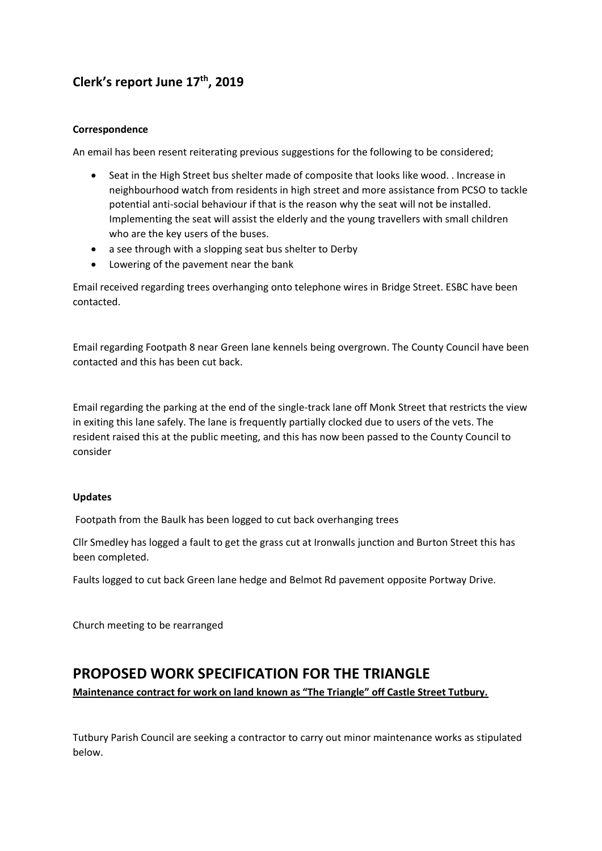## **Clerk's report June 17th, 2019**

#### **Correspondence**

An email has been resent reiterating previous suggestions for the following to be considered;

- Seat in the High Street bus shelter made of composite that looks like wood. . Increase in neighbourhood watch from residents in high street and more assistance from PCSO to tackle potential anti-social behaviour if that is the reason why the seat will not be installed. Implementing the seat will assist the elderly and the young travellers with small children who are the key users of the buses.
- a see through with a slopping seat bus shelter to Derby
- Lowering of the pavement near the bank

Email received regarding trees overhanging onto telephone wires in Bridge Street. ESBC have been contacted.

Email regarding Footpath 8 near Green lane kennels being overgrown. The County Council have been contacted and this has been cut back.

Email regarding the parking at the end of the single-track lane off Monk Street that restricts the view in exiting this lane safely. The lane is frequently partially clocked due to users of the vets. The resident raised this at the public meeting, and this has now been passed to the County Council to consider

#### **Updates**

Footpath from the Baulk has been logged to cut back overhanging trees

Cllr Smedley has logged a fault to get the grass cut at Ironwalls junction and Burton Street this has been completed.

Faults logged to cut back Green lane hedge and Belmot Rd pavement opposite Portway Drive.

Church meeting to be rearranged

## **PROPOSED WORK SPECIFICATION FOR THE TRIANGLE**

**Maintenance contract for work on land known as "The Triangle" off Castle Street Tutbury.**

Tutbury Parish Council are seeking a contractor to carry out minor maintenance works as stipulated below.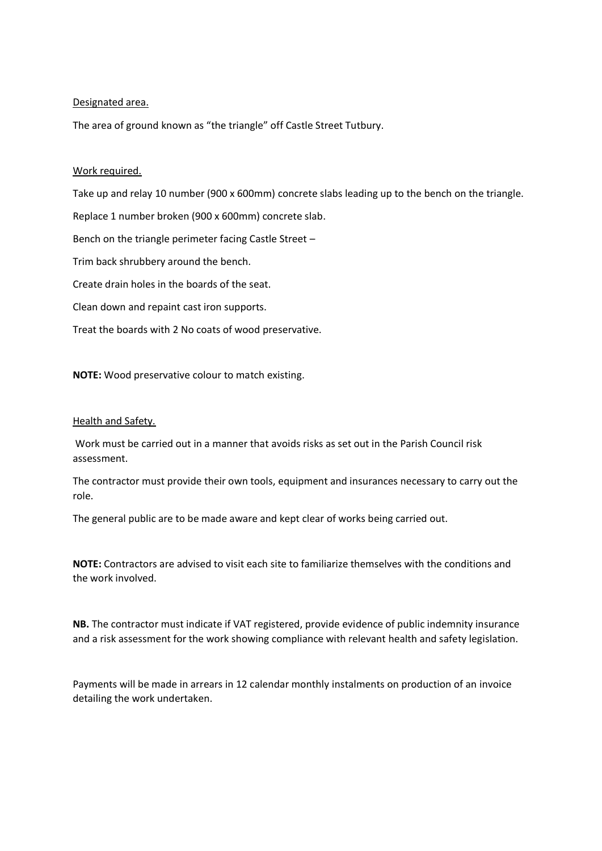#### Designated area.

The area of ground known as "the triangle" off Castle Street Tutbury.

#### Work required.

Take up and relay 10 number (900 x 600mm) concrete slabs leading up to the bench on the triangle.

Replace 1 number broken (900 x 600mm) concrete slab.

Bench on the triangle perimeter facing Castle Street –

Trim back shrubbery around the bench.

Create drain holes in the boards of the seat.

Clean down and repaint cast iron supports.

Treat the boards with 2 No coats of wood preservative.

**NOTE:** Wood preservative colour to match existing.

#### Health and Safety.

Work must be carried out in a manner that avoids risks as set out in the Parish Council risk assessment.

The contractor must provide their own tools, equipment and insurances necessary to carry out the role.

The general public are to be made aware and kept clear of works being carried out.

**NOTE:** Contractors are advised to visit each site to familiarize themselves with the conditions and the work involved.

**NB.** The contractor must indicate if VAT registered, provide evidence of public indemnity insurance and a risk assessment for the work showing compliance with relevant health and safety legislation.

Payments will be made in arrears in 12 calendar monthly instalments on production of an invoice detailing the work undertaken.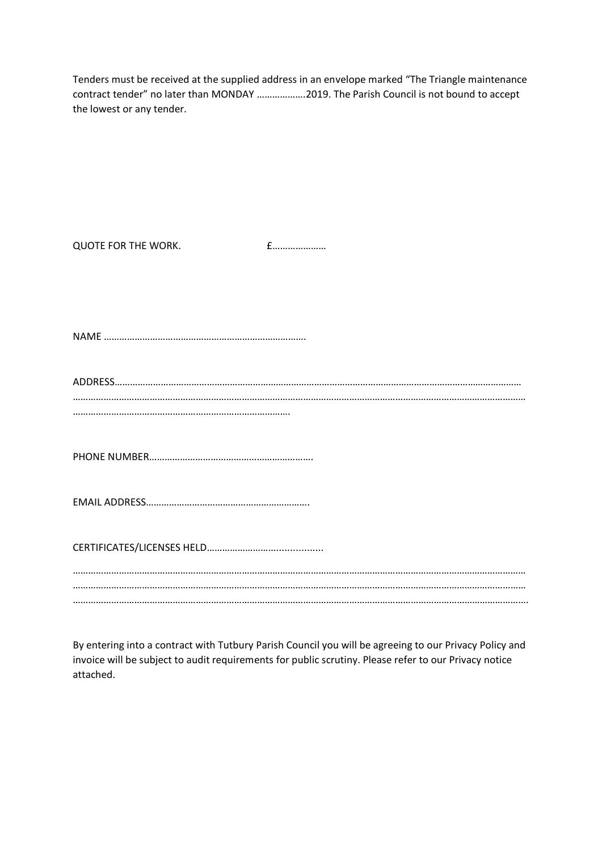Tenders must be received at the supplied address in an envelope marked "The Triangle maintenance contract tender" no later than MONDAY ……………….2019. The Parish Council is not bound to accept the lowest or any tender.

| QUOTE FOR THE WORK. | $f$ |
|---------------------|-----|
|                     |     |
|                     |     |
|                     |     |
|                     |     |
|                     |     |
|                     |     |
|                     |     |
|                     |     |
|                     |     |
|                     |     |

By entering into a contract with Tutbury Parish Council you will be agreeing to our Privacy Policy and invoice will be subject to audit requirements for public scrutiny. Please refer to our Privacy notice attached.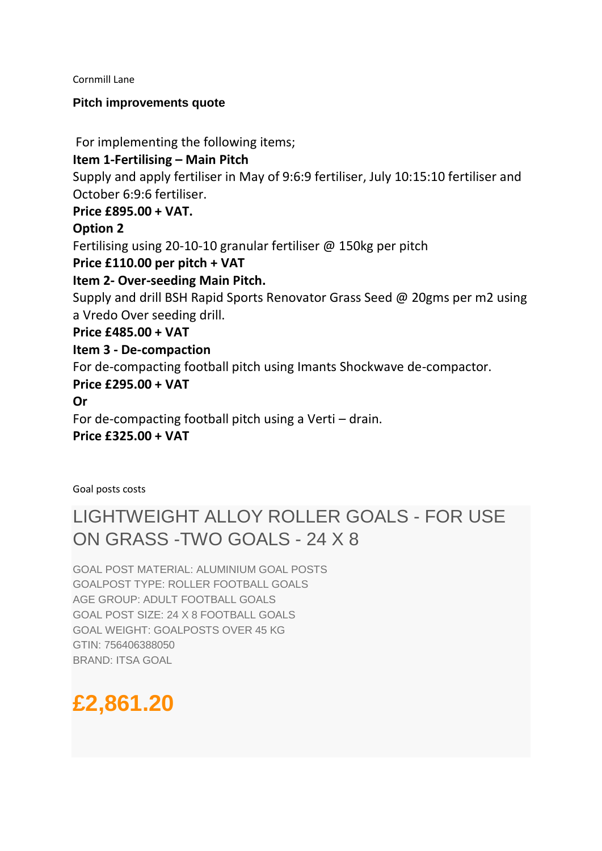#### Cornmill Lane

## **Pitch improvements quote**

For implementing the following items;

## **Item 1-Fertilising – Main Pitch**

Supply and apply fertiliser in May of 9:6:9 fertiliser, July 10:15:10 fertiliser and October 6:9:6 fertiliser.

## **Price £895.00 + VAT.**

## **Option 2**

Fertilising using 20-10-10 granular fertiliser @ 150kg per pitch

## **Price £110.00 per pitch + VAT**

## **Item 2- Over-seeding Main Pitch.**

Supply and drill BSH Rapid Sports Renovator Grass Seed @ 20gms per m2 using a Vredo Over seeding drill.

## **Price £485.00 + VAT**

## **Item 3 - De-compaction**

For de-compacting football pitch using Imants Shockwave de-compactor.

## **Price £295.00 + VAT**

**Or** 

For de-compacting football pitch using a Verti – drain.

## **Price £325.00 + VAT**

Goal posts costs

## LIGHTWEIGHT ALLOY ROLLER GOALS - FOR USE ON GRASS -TWO GOALS - 24 X 8

GOAL POST MATERIAL: ALUMINIUM GOAL POSTS GOALPOST TYPE: ROLLER FOOTBALL GOALS AGE GROUP: ADULT FOOTBALL GOALS GOAL POST SIZE: 24 X 8 FOOTBALL GOALS GOAL WEIGHT: GOALPOSTS OVER 45 KG GTIN: 756406388050 BRAND: ITSA GOAL

# **£2,861.20**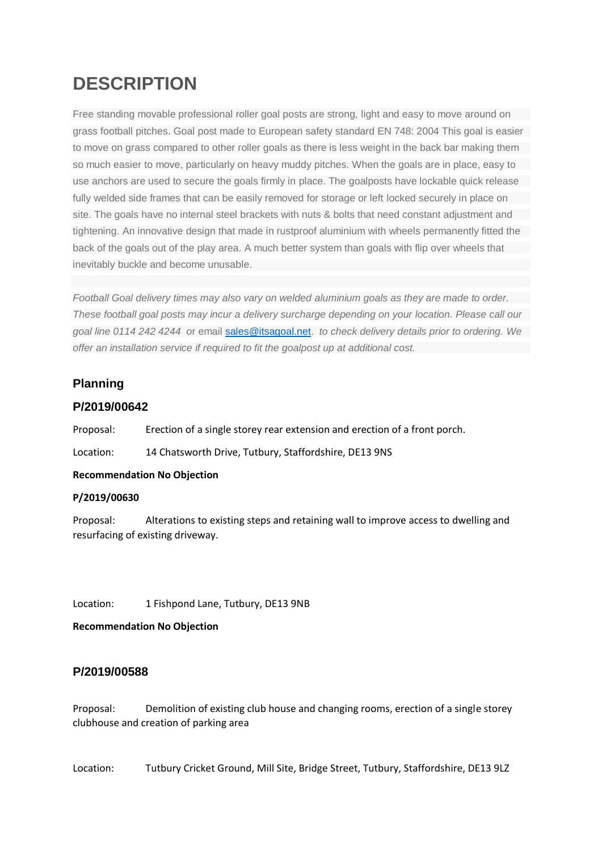# **DESCRIPTION**

Free standing movable professional roller goal posts are strong, light and easy to move around on grass football pitches. Goal post made to European safety standard EN 748: 2004 This goal is easier to move on grass compared to other roller goals as there is less weight in the back bar making them so much easier to move, particularly on heavy muddy pitches. When the goals are in place, easy to use anchors are used to secure the goals firmly in place. The goalposts have lockable quick release fully welded side frames that can be easily removed for storage or left locked securely in place on site. The goals have no internal steel brackets with nuts & bolts that need constant adjustment and tightening. An innovative design that made in rustproof aluminium with wheels permanently fitted the back of the goals out of the play area. A much better system than goals with flip over wheels that inevitably buckle and become unusable.

*Football Goal delivery times may also vary on welded aluminium goals as they are made to order. These football goal posts may incur a delivery surcharge depending on your location. Please call our goal line 0114 242 4244 o*r email [sales@itsagoal.net.](mailto:sales@itsagoal.net) *to check delivery details prior to ordering. We offer an installation service if required to fit the goalpost up at additional cost.*

## **Planning**

## **P/2019/00642**

Proposal: Erection of a single storey rear extension and erection of a front porch.

Location: 14 Chatsworth Drive, Tutbury, Staffordshire, DE13 9NS

#### **Recommendation No Objection**

#### **P/2019/00630**

Proposal: Alterations to existing steps and retaining wall to improve access to dwelling and resurfacing of existing driveway.

Location: 1 Fishpond Lane, Tutbury, DE13 9NB

**Recommendation No Objection**

## **P/2019/00588**

Proposal: Demolition of existing club house and changing rooms, erection of a single storey clubhouse and creation of parking area

Location: Tutbury Cricket Ground, Mill Site, Bridge Street, Tutbury, Staffordshire, DE13 9LZ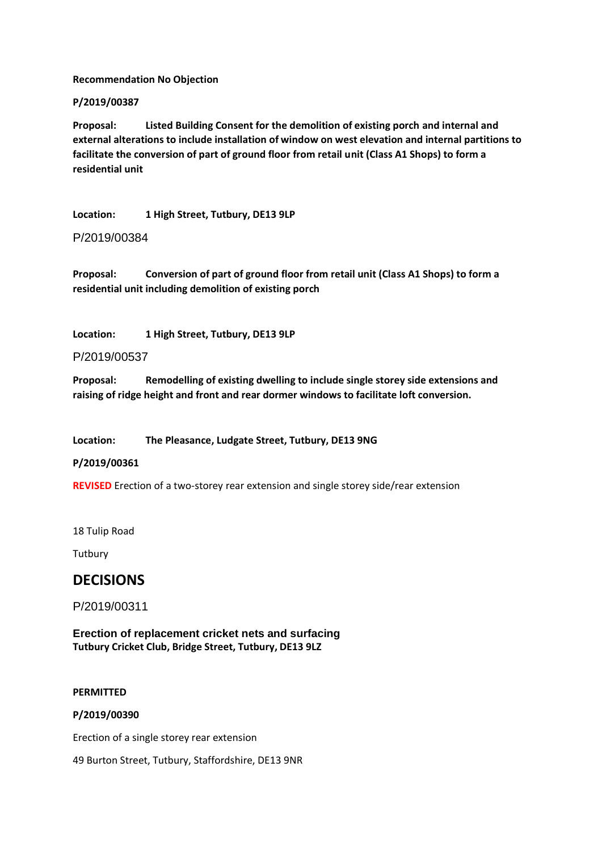**Recommendation No Objection**

#### **P/2019/00387**

**Proposal: Listed Building Consent for the demolition of existing porch and internal and external alterations to include installation of window on west elevation and internal partitions to facilitate the conversion of part of ground floor from retail unit (Class A1 Shops) to form a residential unit**

**Location: 1 High Street, Tutbury, DE13 9LP**

P/2019/00384

**Proposal: Conversion of part of ground floor from retail unit (Class A1 Shops) to form a residential unit including demolition of existing porch**

**Location: 1 High Street, Tutbury, DE13 9LP**

P/2019/00537

**Proposal: Remodelling of existing dwelling to include single storey side extensions and raising of ridge height and front and rear dormer windows to facilitate loft conversion.**

**Location: The Pleasance, Ludgate Street, Tutbury, DE13 9NG**

**P/2019/00361**

**REVISED** Erection of a two-storey rear extension and single storey side/rear extension

18 Tulip Road

**Tutbury** 

## **DECISIONS**

P/2019/00311

**Erection of replacement cricket nets and surfacing Tutbury Cricket Club, Bridge Street, Tutbury, DE13 9LZ**

#### **PERMITTED**

#### **P/2019/00390**

Erection of a single storey rear extension

49 Burton Street, Tutbury, Staffordshire, DE13 9NR